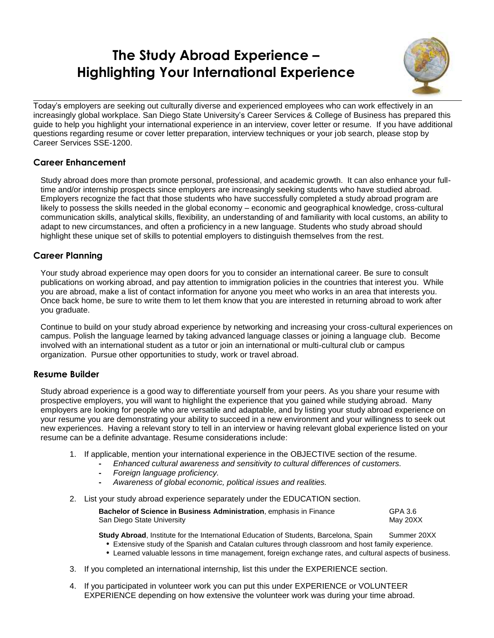# **The Study Abroad Experience – Highlighting Your International Experience**



Today's employers are seeking out culturally diverse and experienced employees who can work effectively in an increasingly global workplace. San Diego State University's Career Services & College of Business has prepared this guide to help you highlight your international experience in an interview, cover letter or resume. If you have additional questions regarding resume or cover letter preparation, interview techniques or your job search, please stop by Career Services SSE-1200.

#### **Career Enhancement**

Study abroad does more than promote personal, professional, and academic growth. It can also enhance your fulltime and/or internship prospects since employers are increasingly seeking students who have studied abroad. Employers recognize the fact that those students who have successfully completed a study abroad program are likely to possess the skills needed in the global economy – economic and geographical knowledge, cross-cultural communication skills, analytical skills, flexibility, an understanding of and familiarity with local customs, an ability to adapt to new circumstances, and often a proficiency in a new language. Students who study abroad should highlight these unique set of skills to potential employers to distinguish themselves from the rest.

## **Career Planning**

Your study abroad experience may open doors for you to consider an international career. Be sure to consult publications on working abroad, and pay attention to immigration policies in the countries that interest you. While you are abroad, make a list of contact information for anyone you meet who works in an area that interests you. Once back home, be sure to write them to let them know that you are interested in returning abroad to work after you graduate.

Continue to build on your study abroad experience by networking and increasing your cross-cultural experiences on campus. Polish the language learned by taking advanced language classes or joining a language club. Become involved with an international student as a tutor or join an international or multi-cultural club or campus organization. Pursue other opportunities to study, work or travel abroad.

#### **Resume Builder**

Study abroad experience is a good way to differentiate yourself from your peers. As you share your resume with prospective employers, you will want to highlight the experience that you gained while studying abroad. Many employers are looking for people who are versatile and adaptable, and by listing your study abroad experience on your resume you are demonstrating your ability to succeed in a new environment and your willingness to seek out new experiences. Having a relevant story to tell in an interview or having relevant global experience listed on your resume can be a definite advantage. Resume considerations include:

- 1. If applicable, mention your international experience in the OBJECTIVE section of the resume.
	- **-** *Enhanced cultural awareness and sensitivity to cultural differences of customers.*
		- **-** *Foreign language proficiency.*
		- **-** *Awareness of global economic, political issues and realities.*
- 2. List your study abroad experience separately under the EDUCATION section.

| Bachelor of Science in Business Administration, emphasis in Finance | GPA 3.6  |
|---------------------------------------------------------------------|----------|
| San Diego State University                                          | May 20XX |

**Study Abroad**, Institute for the International Education of Students, Barcelona, Spain Summer 20XX

- Extensive study of the Spanish and Catalan cultures through classroom and host family experience.
- Learned valuable lessons in time management, foreign exchange rates, and cultural aspects of business.
- 3. If you completed an international internship, list this under the EXPERIENCE section.
- 4. If you participated in volunteer work you can put this under EXPERIENCE or VOLUNTEER EXPERIENCE depending on how extensive the volunteer work was during your time abroad.